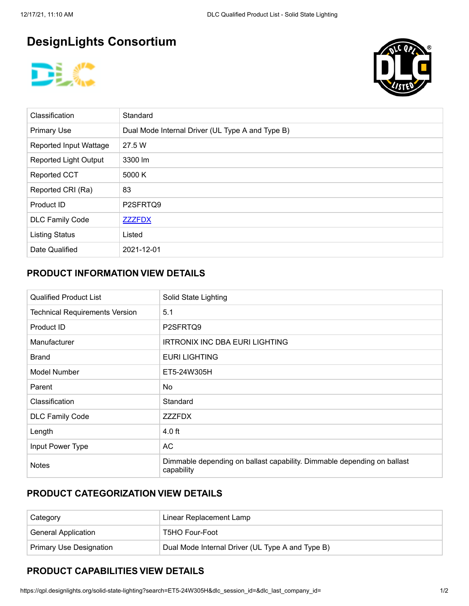# **DesignLights Consortium**





| <b>Classification</b>        | Standard                                         |
|------------------------------|--------------------------------------------------|
| <b>Primary Use</b>           | Dual Mode Internal Driver (UL Type A and Type B) |
| Reported Input Wattage       | 27.5 W                                           |
| <b>Reported Light Output</b> | 3300 lm                                          |
| <b>Reported CCT</b>          | 5000 K                                           |
| Reported CRI (Ra)            | 83                                               |
| Product ID                   | P2SFRTQ9                                         |
| <b>DLC Family Code</b>       | <b>ZZZFDX</b>                                    |
| <b>Listing Status</b>        | Listed                                           |
| Date Qualified               | 2021-12-01                                       |

#### **PRODUCT INFORMATION VIEW DETAILS**

| <b>Qualified Product List</b>                                                                         | Solid State Lighting                  |  |  |  |
|-------------------------------------------------------------------------------------------------------|---------------------------------------|--|--|--|
| <b>Technical Requirements Version</b>                                                                 | 5.1                                   |  |  |  |
| <b>Product ID</b>                                                                                     | P2SFRTQ9                              |  |  |  |
| Manufacturer                                                                                          | <b>IRTRONIX INC DBA EURI LIGHTING</b> |  |  |  |
| <b>Brand</b>                                                                                          | <b>EURI LIGHTING</b>                  |  |  |  |
| Model Number                                                                                          | ET5-24W305H                           |  |  |  |
| Parent                                                                                                | No.                                   |  |  |  |
| Classification                                                                                        | Standard                              |  |  |  |
| <b>DLC Family Code</b>                                                                                | <b>ZZZFDX</b>                         |  |  |  |
| Length                                                                                                | $4.0$ ft                              |  |  |  |
| Input Power Type                                                                                      | AC                                    |  |  |  |
| Dimmable depending on ballast capability. Dimmable depending on ballast<br><b>Notes</b><br>capability |                                       |  |  |  |

### **PRODUCT CATEGORIZATION VIEW DETAILS**

| Category                       | Linear Replacement Lamp                          |
|--------------------------------|--------------------------------------------------|
| <b>General Application</b>     | T5HO Four-Foot                                   |
| <b>Primary Use Designation</b> | Dual Mode Internal Driver (UL Type A and Type B) |

## **PRODUCT CAPABILITIES VIEW DETAILS**